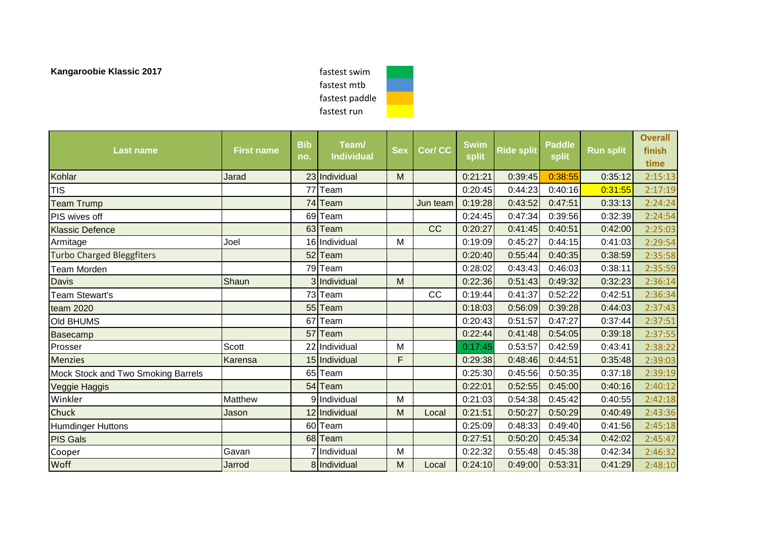fastest swim fastest mtb fastest paddle fastest run

| <b>Last name</b>                   | <b>First name</b> | <b>Bib</b><br>no. | Team/<br><b>Individual</b> | <b>Sex</b> | Cor/ CC  | <b>Swim</b><br>split | <b>Ride split</b> | <b>Paddle</b><br>split | <b>Run split</b> | <b>Overall</b><br>finish<br>time |
|------------------------------------|-------------------|-------------------|----------------------------|------------|----------|----------------------|-------------------|------------------------|------------------|----------------------------------|
| Kohlar                             | Jarad             |                   | 23 Individual              | M          |          | 0:21:21              | 0:39:45           | 0:38:55                | 0:35:12          | 2:15:13                          |
| <b>TIS</b>                         |                   | 77                | Team                       |            |          | 0:20:45              | 0:44:23           | 0:40:16                | 0:31:55          | 2:17:19                          |
| <b>Team Trump</b>                  |                   |                   | 74 Team                    |            | Jun team | 0:19:28              | 0:43:52           | 0:47:51                | 0:33:13          | 2:24:24                          |
| PIS wives off                      |                   |                   | 69 Team                    |            |          | 0:24:45              | 0:47:34           | 0:39:56                | 0:32:39          | 2:24:54                          |
| <b>Klassic Defence</b>             |                   |                   | 63 Team                    |            | CC       | 0:20:27              | 0:41:45           | 0:40:51                | 0:42:00          | 2:25:03                          |
| Armitage                           | Joel              |                   | 16 Individual              | M          |          | 0:19:09              | 0:45:27           | 0:44:15                | 0:41:03          | 2:29:54                          |
| <b>Turbo Charged Bleggfiters</b>   |                   |                   | 52 Team                    |            |          | 0:20:40              | 0:55:44           | 0:40:35                | 0:38:59          | 2:35:58                          |
| <b>Team Morden</b>                 |                   |                   | 79 Team                    |            |          | 0:28:02              | 0:43:43           | 0:46:03                | 0:38:11          | 2:35:59                          |
| Davis                              | Shaun             |                   | 3 Individual               | M          |          | 0:22:36              | 0:51:43           | 0:49:32                | 0:32:23          | 2:36:14                          |
| Team Stewart's                     |                   |                   | 73 Team                    |            | CC       | 0:19:44              | 0:41:37           | 0:52:22                | 0:42:51          | 2:36:34                          |
| team 2020                          |                   |                   | 55 Team                    |            |          | 0:18:03              | 0:56:09           | 0:39:28                | 0:44:03          | 2:37:43                          |
| Old BHUMS                          |                   | 67                | Team                       |            |          | 0:20:43              | 0:51:57           | 0:47:27                | 0:37:44          | 2:37:51                          |
| <b>Basecamp</b>                    |                   | 57                | Team                       |            |          | 0:22:44              | 0:41:48           | 0:54:05                | 0:39:18          | 2:37:55                          |
| Prosser                            | Scott             |                   | 22 Individual              | M          |          | 0:17:45              | 0:53:57           | 0:42:59                | 0:43:41          | 2:38:22                          |
| <b>Menzies</b>                     | Karensa           |                   | 15 Individual              | F          |          | 0:29:38              | 0:48:46           | 0:44:51                | 0:35:48          | 2:39:03                          |
| Mock Stock and Two Smoking Barrels |                   |                   | 65 Team                    |            |          | 0:25:30              | 0:45:56           | 0:50:35                | 0:37:18          | 2:39:19                          |
| Veggie Haggis                      |                   |                   | 54 Team                    |            |          | 0:22:01              | 0:52:55           | 0:45:00                | 0:40:16          | 2:40:12                          |
| Winkler                            | <b>Matthew</b>    |                   | 9 Individual               | M          |          | 0:21:03              | 0:54:38           | 0:45:42                | 0:40:55          | 2:42:18                          |
| Chuck                              | Jason             |                   | 12 Individual              | M          | Local    | 0:21:51              | 0:50:27           | 0:50:29                | 0:40:49          | 2:43:36                          |
| <b>Humdinger Huttons</b>           |                   |                   | 60 Team                    |            |          | 0:25:09              | 0:48:33           | 0:49:40                | 0:41:56          | 2:45:18                          |
| <b>PIS Gals</b>                    |                   |                   | 68 Team                    |            |          | 0:27:51              | 0:50:20           | 0:45:34                | 0:42:02          | 2:45:47                          |
| Cooper                             | Gavan             |                   | 7 Individual               | M          |          | 0:22:32              | 0:55:48           | 0:45:38                | 0:42:34          | 2:46:32                          |
| Woff                               | Jarrod            |                   | 8 Individual               | M          | Local    | 0:24:10              | 0:49:00           | 0:53:31                | 0:41:29          | 2:48:10                          |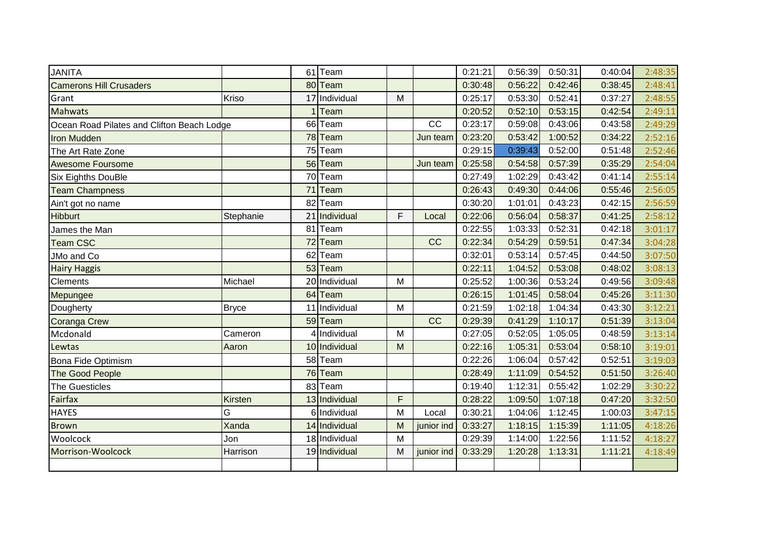| <b>JANITA</b>                              |                | 61 Team       |   |            | 0:21:21 | 0:56:39 | 0:50:31 | 0:40:04 | 2:48:35 |
|--------------------------------------------|----------------|---------------|---|------------|---------|---------|---------|---------|---------|
| <b>Camerons Hill Crusaders</b>             |                | 80 Team       |   |            | 0:30:48 | 0:56:22 | 0:42:46 | 0:38:45 | 2:48:41 |
| Grant                                      | Kriso          | 17 Individual | M |            | 0:25:17 | 0:53:30 | 0:52:41 | 0:37:27 | 2:48:55 |
| <b>Mahwats</b>                             |                | Team          |   |            | 0:20:52 | 0:52:10 | 0:53:15 | 0:42:54 | 2:49:11 |
| Ocean Road Pilates and Clifton Beach Lodge |                | 66 Team       |   | CC         | 0:23:17 | 0:59:08 | 0:43:06 | 0:43:58 | 2:49:29 |
| <b>Iron Mudden</b>                         |                | 78 Team       |   | Jun team   | 0:23:20 | 0:53:42 | 1:00:52 | 0:34:22 | 2:52:16 |
| The Art Rate Zone                          |                | 75 Team       |   |            | 0:29:15 | 0:39:43 | 0:52:00 | 0:51:48 | 2:52:46 |
| <b>Awesome Foursome</b>                    |                | 56 Team       |   | Jun team   | 0:25:58 | 0:54:58 | 0:57:39 | 0:35:29 | 2:54:04 |
| <b>Six Eighths DouBle</b>                  |                | 70 Team       |   |            | 0:27:49 | 1:02:29 | 0:43:42 | 0:41:14 | 2:55:14 |
| <b>Team Champness</b>                      |                | 71 Team       |   |            | 0:26:43 | 0:49:30 | 0:44:06 | 0:55:46 | 2:56:05 |
| Ain't got no name                          |                | 82 Team       |   |            | 0:30:20 | 1:01:01 | 0:43:23 | 0:42:15 | 2:56:59 |
| <b>Hibburt</b>                             | Stephanie      | 21 Individual | E | Local      | 0:22:06 | 0:56:04 | 0:58:37 | 0:41:25 | 2:58:12 |
| James the Man                              |                | 81 Team       |   |            | 0:22:55 | 1:03:33 | 0:52:31 | 0:42:18 | 3:01:17 |
| <b>Team CSC</b>                            |                | 72 Team       |   | CC         | 0:22:34 | 0:54:29 | 0:59:51 | 0:47:34 | 3:04:28 |
| JMo and Co                                 |                | 62 Team       |   |            | 0:32:01 | 0:53:14 | 0:57:45 | 0:44:50 | 3:07:50 |
| <b>Hairy Haggis</b>                        |                | 53 Team       |   |            | 0:22:11 | 1:04:52 | 0:53:08 | 0:48:02 | 3:08:13 |
| <b>Clements</b>                            | Michael        | 20 Individual | M |            | 0:25:52 | 1:00:36 | 0:53:24 | 0:49:56 | 3:09:48 |
| Mepungee                                   |                | 64 Team       |   |            | 0:26:15 | 1:01:45 | 0:58:04 | 0:45:26 | 3:11:30 |
| Dougherty                                  | <b>Bryce</b>   | 11 Individual | M |            | 0:21:59 | 1:02:18 | 1:04:34 | 0:43:30 | 3:12:21 |
| <b>Coranga Crew</b>                        |                | 59 Team       |   | CC         | 0:29:39 | 0:41:29 | 1:10:17 | 0:51:39 | 3:13:04 |
| Mcdonald                                   | Cameron        | 4 Individual  | M |            | 0:27:05 | 0:52:05 | 1:05:05 | 0:48:59 | 3:13:14 |
| Lewtas                                     | Aaron          | 10 Individual | M |            | 0:22:16 | 1:05:31 | 0:53:04 | 0:58:10 | 3:19:01 |
| Bona Fide Optimism                         |                | 58 Team       |   |            | 0:22:26 | 1:06:04 | 0:57:42 | 0:52:51 | 3:19:03 |
| <b>The Good People</b>                     |                | 76 Team       |   |            | 0:28:49 | 1:11:09 | 0:54:52 | 0:51:50 | 3:26:40 |
| <b>The Guesticles</b>                      |                | 83 Team       |   |            | 0:19:40 | 1:12:31 | 0:55:42 | 1:02:29 | 3:30:22 |
| Fairfax                                    | <b>Kirsten</b> | 13 Individual | F |            | 0:28:22 | 1:09:50 | 1:07:18 | 0:47:20 | 3:32:50 |
| <b>HAYES</b>                               | G              | 6 Individual  | M | Local      | 0:30:21 | 1:04:06 | 1:12:45 | 1:00:03 | 3:47:15 |
| <b>Brown</b>                               | Xanda          | 14 Individual | M | junior ind | 0:33:27 | 1:18:15 | 1:15:39 | 1:11:05 | 4:18:26 |
| Woolcock                                   | Jon            | 18 Individual | M |            | 0:29:39 | 1:14:00 | 1:22:56 | 1:11:52 | 4:18:27 |
| Morrison-Woolcock                          | Harrison       | 19 Individual | M | junior ind | 0:33:29 | 1:20:28 | 1:13:31 | 1:11:21 | 4:18:49 |
|                                            |                |               |   |            |         |         |         |         |         |